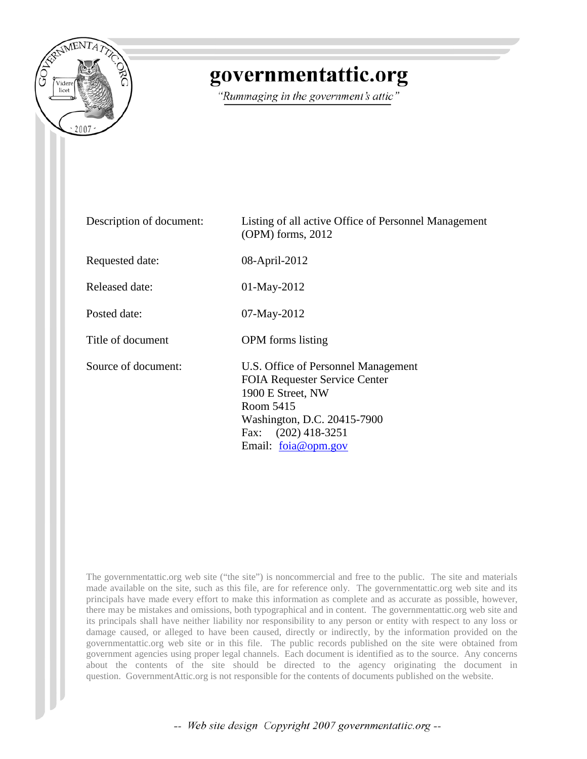

## governmentattic.org

"Rummaging in the government's attic"

| Description of document: | Listing of all active Office of Personnel Management<br>$(OPM)$ forms, 2012                                                                                                                  |
|--------------------------|----------------------------------------------------------------------------------------------------------------------------------------------------------------------------------------------|
| Requested date:          | 08-April-2012                                                                                                                                                                                |
| Released date:           | 01-May-2012                                                                                                                                                                                  |
| Posted date:             | 07-May-2012                                                                                                                                                                                  |
| Title of document        | <b>OPM</b> forms listing                                                                                                                                                                     |
| Source of document:      | U.S. Office of Personnel Management<br><b>FOIA Requester Service Center</b><br>1900 E Street, NW<br>Room 5415<br>Washington, D.C. 20415-7900<br>Fax: $(202)$ 418-3251<br>Email: foia@opm.gov |

The governmentattic.org web site ("the site") is noncommercial and free to the public. The site and materials made available on the site, such as this file, are for reference only. The governmentattic.org web site and its principals have made every effort to make this information as complete and as accurate as possible, however, there may be mistakes and omissions, both typographical and in content. The governmentattic.org web site and its principals shall have neither liability nor responsibility to any person or entity with respect to any loss or damage caused, or alleged to have been caused, directly or indirectly, by the information provided on the governmentattic.org web site or in this file. The public records published on the site were obtained from government agencies using proper legal channels. Each document is identified as to the source. Any concerns about the contents of the site should be directed to the agency originating the document in question. GovernmentAttic.org is not responsible for the contents of documents published on the website.

-- Web site design Copyright 2007 governmentattic.org --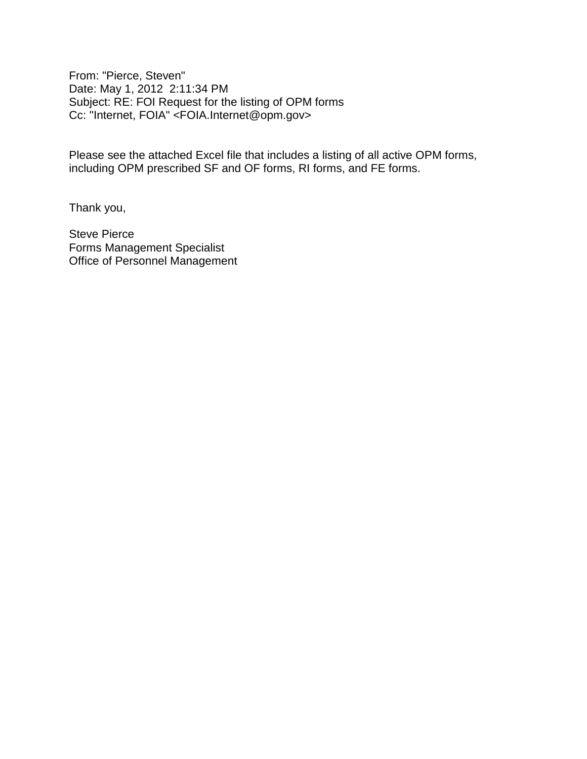From: "Pierce, Steven" Date: May 1, 2012 2:11:34 PM Subject: RE: FOI Request for the listing of OPM forms Cc: "Internet, FOIA" <FOIA.Internet@opm.gov>

Please see the attached Excel file that includes a listing of all active OPM forms, including OPM prescribed SF and OF forms, RI forms, and FE forms.

Thank you,

Steve Pierce Forms Management Specialist Office of Personnel Management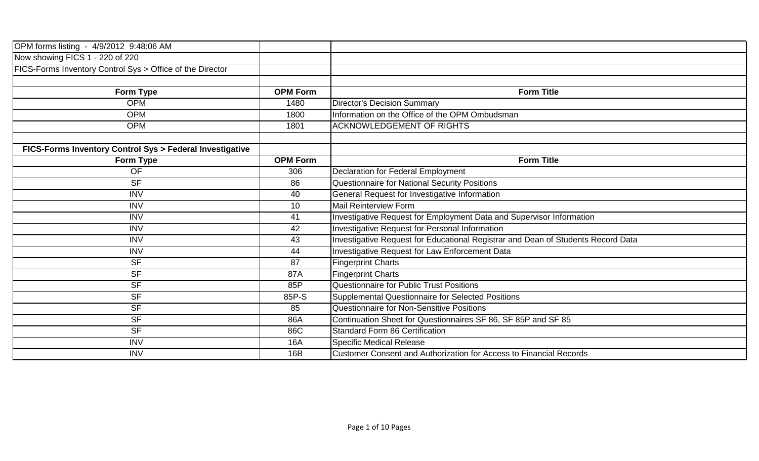| OPM forms listing - 4/9/2012 9:48:06 AM                   |                 |                                                                                  |
|-----------------------------------------------------------|-----------------|----------------------------------------------------------------------------------|
| Now showing FICS 1 - 220 of 220                           |                 |                                                                                  |
| FICS-Forms Inventory Control Sys > Office of the Director |                 |                                                                                  |
|                                                           |                 |                                                                                  |
| Form Type                                                 | <b>OPM Form</b> | <b>Form Title</b>                                                                |
| <b>OPM</b>                                                | 1480            | <b>Director's Decision Summary</b>                                               |
| <b>OPM</b>                                                | 1800            | Information on the Office of the OPM Ombudsman                                   |
| <b>OPM</b>                                                | 1801            | <b>ACKNOWLEDGEMENT OF RIGHTS</b>                                                 |
|                                                           |                 |                                                                                  |
| FICS-Forms Inventory Control Sys > Federal Investigative  |                 |                                                                                  |
| Form Type                                                 | <b>OPM Form</b> | <b>Form Title</b>                                                                |
| <b>OF</b>                                                 | 306             | Declaration for Federal Employment                                               |
| <b>SF</b>                                                 | 86              | Questionnaire for National Security Positions                                    |
| <b>INV</b>                                                | 40              | General Request for Investigative Information                                    |
| <b>INV</b>                                                | 10              | <b>Mail Reinterview Form</b>                                                     |
| <b>INV</b>                                                | 41              | Investigative Request for Employment Data and Supervisor Information             |
| <b>INV</b>                                                | 42              | Investigative Request for Personal Information                                   |
| <b>INV</b>                                                | 43              | Investigative Request for Educational Registrar and Dean of Students Record Data |
| <b>INV</b>                                                | 44              | Investigative Request for Law Enforcement Data                                   |
| <b>SF</b>                                                 | 87              | <b>Fingerprint Charts</b>                                                        |
| <b>SF</b>                                                 | 87A             | <b>Fingerprint Charts</b>                                                        |
| <b>SF</b>                                                 | 85P             | Questionnaire for Public Trust Positions                                         |
| <b>SF</b>                                                 | 85P-S           | Supplemental Questionnaire for Selected Positions                                |
| <b>SF</b>                                                 | 85              | Questionnaire for Non-Sensitive Positions                                        |
| <b>SF</b>                                                 | 86A             | Continuation Sheet for Questionnaires SF 86, SF 85P and SF 85                    |
| <b>SF</b>                                                 | 86C             | <b>Standard Form 86 Certification</b>                                            |
| <b>INV</b>                                                | 16A             | <b>Specific Medical Release</b>                                                  |
| <b>INV</b>                                                | 16B             | <b>Customer Consent and Authorization for Access to Financial Records</b>        |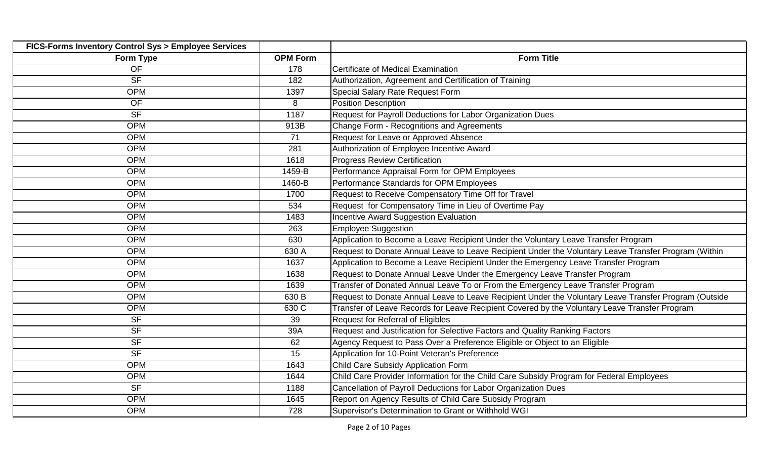| FICS-Forms Inventory Control Sys > Employee Services |                 |                                                                                                       |
|------------------------------------------------------|-----------------|-------------------------------------------------------------------------------------------------------|
| Form Type                                            | <b>OPM Form</b> | <b>Form Title</b>                                                                                     |
| <b>OF</b>                                            | 178             | <b>Certificate of Medical Examination</b>                                                             |
| <b>SF</b>                                            | 182             | Authorization, Agreement and Certification of Training                                                |
| <b>OPM</b>                                           | 1397            | Special Salary Rate Request Form                                                                      |
| <b>OF</b>                                            | 8               | <b>Position Description</b>                                                                           |
| <b>SF</b>                                            | 1187            | Request for Payroll Deductions for Labor Organization Dues                                            |
| <b>OPM</b>                                           | 913B            | Change Form - Recognitions and Agreements                                                             |
| <b>OPM</b>                                           | 71              | Request for Leave or Approved Absence                                                                 |
| <b>OPM</b>                                           | 281             | Authorization of Employee Incentive Award                                                             |
| <b>OPM</b>                                           | 1618            | <b>Progress Review Certification</b>                                                                  |
| <b>OPM</b>                                           | 1459-B          | Performance Appraisal Form for OPM Employees                                                          |
| <b>OPM</b>                                           | 1460-B          | Performance Standards for OPM Employees                                                               |
| <b>OPM</b>                                           | 1700            | Request to Receive Compensatory Time Off for Travel                                                   |
| <b>OPM</b>                                           | 534             | Request for Compensatory Time in Lieu of Overtime Pay                                                 |
| <b>OPM</b>                                           | 1483            | Incentive Award Suggestion Evaluation                                                                 |
| <b>OPM</b>                                           | 263             | <b>Employee Suggestion</b>                                                                            |
| <b>OPM</b>                                           | 630             | Application to Become a Leave Recipient Under the Voluntary Leave Transfer Program                    |
| <b>OPM</b>                                           | 630 A           | Request to Donate Annual Leave to Leave Recipient Under the Voluntary Leave Transfer Program (Within  |
| <b>OPM</b>                                           | 1637            | Application to Become a Leave Recipient Under the Emergency Leave Transfer Program                    |
| <b>OPM</b>                                           | 1638            | Request to Donate Annual Leave Under the Emergency Leave Transfer Program                             |
| <b>OPM</b>                                           | 1639            | Transfer of Donated Annual Leave To or From the Emergency Leave Transfer Program                      |
| <b>OPM</b>                                           | 630 B           | Request to Donate Annual Leave to Leave Recipient Under the Voluntary Leave Transfer Program (Outside |
| <b>OPM</b>                                           | 630 C           | Transfer of Leave Records for Leave Recipient Covered by the Voluntary Leave Transfer Program         |
| <b>SF</b>                                            | 39              | <b>Request for Referral of Eligibles</b>                                                              |
| <b>SF</b>                                            | 39A             | Request and Justification for Selective Factors and Quality Ranking Factors                           |
| <b>SF</b>                                            | 62              | Agency Request to Pass Over a Preference Eligible or Object to an Eligible                            |
| <b>SF</b>                                            | 15              | Application for 10-Point Veteran's Preference                                                         |
| <b>OPM</b>                                           | 1643            | Child Care Subsidy Application Form                                                                   |
| <b>OPM</b>                                           | 1644            | Child Care Provider Information for the Child Care Subsidy Program for Federal Employees              |
| <b>SF</b>                                            | 1188            | Cancellation of Payroll Deductions for Labor Organization Dues                                        |
| <b>OPM</b>                                           | 1645            | Report on Agency Results of Child Care Subsidy Program                                                |
| <b>OPM</b>                                           | 728             | Supervisor's Determination to Grant or Withhold WGI                                                   |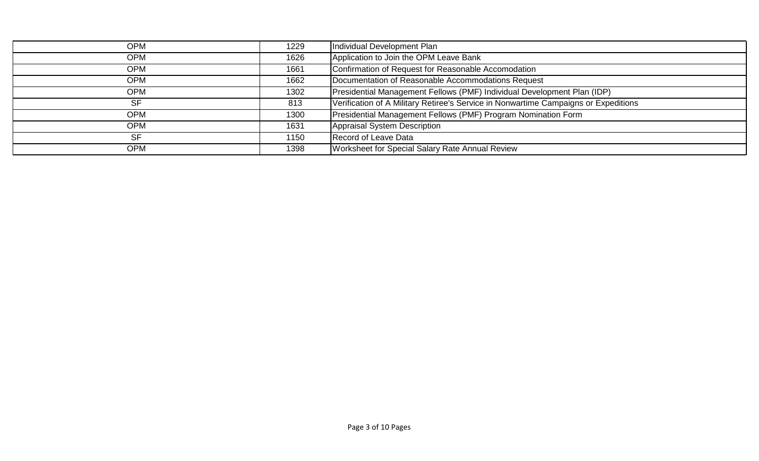| <b>OPM</b> | 1229 | Individual Development Plan                                                         |
|------------|------|-------------------------------------------------------------------------------------|
| <b>OPM</b> | 1626 | Application to Join the OPM Leave Bank                                              |
| <b>OPM</b> | 1661 | Confirmation of Request for Reasonable Accomodation                                 |
| <b>OPM</b> | 1662 | Documentation of Reasonable Accommodations Request                                  |
| <b>OPM</b> | 1302 | Presidential Management Fellows (PMF) Individual Development Plan (IDP)             |
| <b>SF</b>  | 813  | Verification of A Military Retiree's Service in Nonwartime Campaigns or Expeditions |
| <b>OPM</b> | 1300 | Presidential Management Fellows (PMF) Program Nomination Form                       |
| <b>OPM</b> | 1631 | Appraisal System Description                                                        |
| <b>SF</b>  | 1150 | Record of Leave Data                                                                |
| <b>OPM</b> | 1398 | Worksheet for Special Salary Rate Annual Review                                     |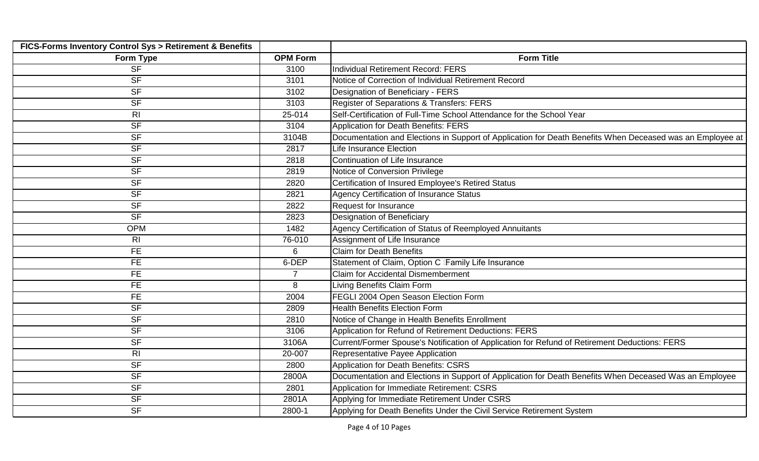| FICS-Forms Inventory Control Sys > Retirement & Benefits |                 |                                                                                                           |
|----------------------------------------------------------|-----------------|-----------------------------------------------------------------------------------------------------------|
| Form Type                                                | <b>OPM Form</b> | <b>Form Title</b>                                                                                         |
| <b>SF</b>                                                | 3100            | <b>Individual Retirement Record: FERS</b>                                                                 |
| <b>SF</b>                                                | 3101            | Notice of Correction of Individual Retirement Record                                                      |
| <b>SF</b>                                                | 3102            | Designation of Beneficiary - FERS                                                                         |
| <b>SF</b>                                                | 3103            | Register of Separations & Transfers: FERS                                                                 |
| R <sub>l</sub>                                           | 25-014          | Self-Certification of Full-Time School Attendance for the School Year                                     |
| <b>SF</b>                                                | 3104            | <b>Application for Death Benefits: FERS</b>                                                               |
| <b>SF</b>                                                | 3104B           | Documentation and Elections in Support of Application for Death Benefits When Deceased was an Employee at |
| <b>SF</b>                                                | 2817            | <b>Life Insurance Election</b>                                                                            |
| <b>SF</b>                                                | 2818            | Continuation of Life Insurance                                                                            |
| <b>SF</b>                                                | 2819            | Notice of Conversion Privilege                                                                            |
| <b>SF</b>                                                | 2820            | Certification of Insured Employee's Retired Status                                                        |
| <b>SF</b>                                                | 2821            | <b>Agency Certification of Insurance Status</b>                                                           |
| <b>SF</b>                                                | 2822            | Request for Insurance                                                                                     |
| <b>SF</b>                                                | 2823            | Designation of Beneficiary                                                                                |
| <b>OPM</b>                                               | 1482            | Agency Certification of Status of Reemployed Annuitants                                                   |
| R <sub>l</sub>                                           | 76-010          | Assignment of Life Insurance                                                                              |
| <b>FE</b>                                                | 6               | <b>Claim for Death Benefits</b>                                                                           |
| <b>FE</b>                                                | 6-DEP           | Statement of Claim, Option C Family Life Insurance                                                        |
| <b>FE</b>                                                | 7               | <b>Claim for Accidental Dismemberment</b>                                                                 |
| <b>FE</b>                                                | 8               | Living Benefits Claim Form                                                                                |
| <b>FE</b>                                                | 2004            | FEGLI 2004 Open Season Election Form                                                                      |
| <b>SF</b>                                                | 2809            | <b>Health Benefits Election Form</b>                                                                      |
| <b>SF</b>                                                | 2810            | Notice of Change in Health Benefits Enrollment                                                            |
| <b>SF</b>                                                | 3106            | Application for Refund of Retirement Deductions: FERS                                                     |
| <b>SF</b>                                                | 3106A           | Current/Former Spouse's Notification of Application for Refund of Retirement Deductions: FERS             |
| R <sub>l</sub>                                           | 20-007          | Representative Payee Application                                                                          |
| <b>SF</b>                                                | 2800            | <b>Application for Death Benefits: CSRS</b>                                                               |
| <b>SF</b>                                                | 2800A           | Documentation and Elections in Support of Application for Death Benefits When Deceased Was an Employee    |
| <b>SF</b>                                                | 2801            | Application for Immediate Retirement: CSRS                                                                |
| <b>SF</b>                                                | 2801A           | Applying for Immediate Retirement Under CSRS                                                              |
| <b>SF</b>                                                | 2800-1          | Applying for Death Benefits Under the Civil Service Retirement System                                     |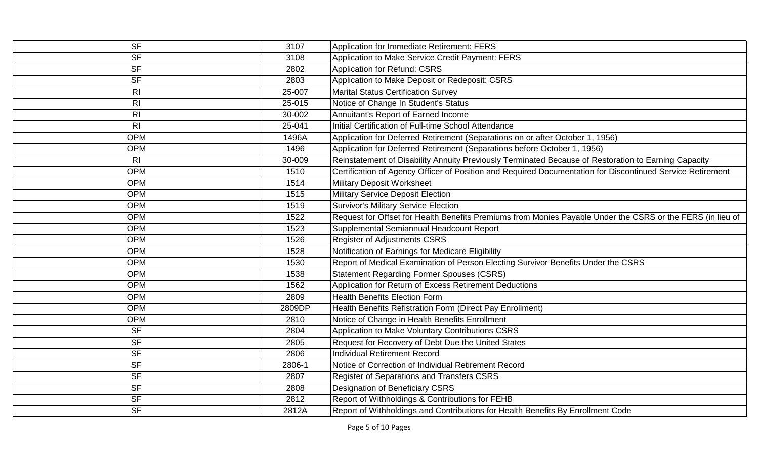| $\overline{\mathsf{SF}}$ | 3107   | Application for Immediate Retirement: FERS                                                                 |
|--------------------------|--------|------------------------------------------------------------------------------------------------------------|
| <b>SF</b>                | 3108   | Application to Make Service Credit Payment: FERS                                                           |
| <b>SF</b>                | 2802   | Application for Refund: CSRS                                                                               |
| <b>SF</b>                | 2803   | Application to Make Deposit or Redeposit: CSRS                                                             |
| R <sub>l</sub>           | 25-007 | <b>Marital Status Certification Survey</b>                                                                 |
| R <sub>l</sub>           | 25-015 | Notice of Change In Student's Status                                                                       |
| R <sub>l</sub>           | 30-002 | Annuitant's Report of Earned Income                                                                        |
| R <sub>l</sub>           | 25-041 | Initial Certification of Full-time School Attendance                                                       |
| <b>OPM</b>               | 1496A  | Application for Deferred Retirement (Separations on or after October 1, 1956)                              |
| <b>OPM</b>               | 1496   | Application for Deferred Retirement (Separations before October 1, 1956)                                   |
| R <sub>l</sub>           | 30-009 | Reinstatement of Disability Annuity Previously Terminated Because of Restoration to Earning Capacity       |
| <b>OPM</b>               | 1510   | Certification of Agency Officer of Position and Required Documentation for Discontinued Service Retirement |
| <b>OPM</b>               | 1514   | <b>Military Deposit Worksheet</b>                                                                          |
| <b>OPM</b>               | 1515   | <b>Military Service Deposit Election</b>                                                                   |
| <b>OPM</b>               | 1519   | <b>Survivor's Military Service Election</b>                                                                |
| <b>OPM</b>               | 1522   | Request for Offset for Health Benefits Premiums from Monies Payable Under the CSRS or the FERS (in lieu of |
| <b>OPM</b>               | 1523   | Supplemental Semiannual Headcount Report                                                                   |
| <b>OPM</b>               | 1526   | <b>Register of Adjustments CSRS</b>                                                                        |
| <b>OPM</b>               | 1528   | Notification of Earnings for Medicare Eligibility                                                          |
| <b>OPM</b>               | 1530   | Report of Medical Examination of Person Electing Survivor Benefits Under the CSRS                          |
| <b>OPM</b>               | 1538   | <b>Statement Regarding Former Spouses (CSRS)</b>                                                           |
| <b>OPM</b>               | 1562   | Application for Return of Excess Retirement Deductions                                                     |
| <b>OPM</b>               | 2809   | <b>Health Benefits Election Form</b>                                                                       |
| <b>OPM</b>               | 2809DP | Health Benefits Refistration Form (Direct Pay Enrollment)                                                  |
| <b>OPM</b>               | 2810   | Notice of Change in Health Benefits Enrollment                                                             |
| <b>SF</b>                | 2804   | Application to Make Voluntary Contributions CSRS                                                           |
| <b>SF</b>                | 2805   | Request for Recovery of Debt Due the United States                                                         |
| <b>SF</b>                | 2806   | <b>Individual Retirement Record</b>                                                                        |
| <b>SF</b>                | 2806-1 | Notice of Correction of Individual Retirement Record                                                       |
| <b>SF</b>                | 2807   | Register of Separations and Transfers CSRS                                                                 |
| <b>SF</b>                | 2808   | <b>Designation of Beneficiary CSRS</b>                                                                     |
| <b>SF</b>                | 2812   | Report of Withholdings & Contributions for FEHB                                                            |
| <b>SF</b>                | 2812A  | Report of Withholdings and Contributions for Health Benefits By Enrollment Code                            |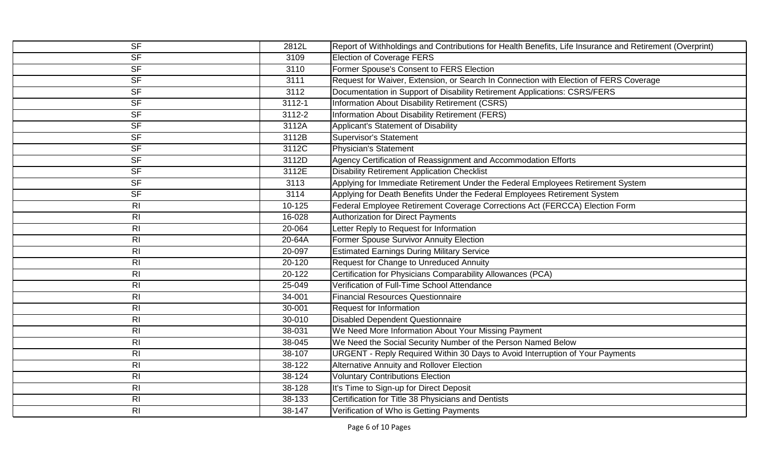| $\overline{\mathsf{SF}}$ | 2812L  | Report of Withholdings and Contributions for Health Benefits, Life Insurance and Retirement (Overprint) |
|--------------------------|--------|---------------------------------------------------------------------------------------------------------|
| <b>SF</b>                | 3109   | <b>Election of Coverage FERS</b>                                                                        |
| <b>SF</b>                | 3110   | Former Spouse's Consent to FERS Election                                                                |
| <b>SF</b>                | 3111   | Request for Waiver, Extension, or Search In Connection with Election of FERS Coverage                   |
| <b>SF</b>                | 3112   | Documentation in Support of Disability Retirement Applications: CSRS/FERS                               |
| <b>SF</b>                | 3112-1 | Information About Disability Retirement (CSRS)                                                          |
| S <sub>F</sub>           | 3112-2 | Information About Disability Retirement (FERS)                                                          |
| <b>SF</b>                | 3112A  | Applicant's Statement of Disability                                                                     |
| <b>SF</b>                | 3112B  | Supervisor's Statement                                                                                  |
| <b>SF</b>                | 3112C  | Physician's Statement                                                                                   |
| <b>SF</b>                | 3112D  | Agency Certification of Reassignment and Accommodation Efforts                                          |
| <b>SF</b>                | 3112E  | <b>Disability Retirement Application Checklist</b>                                                      |
| <b>SF</b>                | 3113   | Applying for Immediate Retirement Under the Federal Employees Retirement System                         |
| <b>SF</b>                | 3114   | Applying for Death Benefits Under the Federal Employees Retirement System                               |
| R <sub>l</sub>           | 10-125 | Federal Employee Retirement Coverage Corrections Act (FERCCA) Election Form                             |
| R <sub>l</sub>           | 16-028 | <b>Authorization for Direct Payments</b>                                                                |
| R <sub>l</sub>           | 20-064 | Letter Reply to Request for Information                                                                 |
| R <sub>l</sub>           | 20-64A | Former Spouse Survivor Annuity Election                                                                 |
| R <sub>l</sub>           | 20-097 | <b>Estimated Earnings During Military Service</b>                                                       |
| R <sub>l</sub>           | 20-120 | Request for Change to Unreduced Annuity                                                                 |
| R <sub>l</sub>           | 20-122 | Certification for Physicians Comparability Allowances (PCA)                                             |
| R <sub>l</sub>           | 25-049 | Verification of Full-Time School Attendance                                                             |
| R <sub>l</sub>           | 34-001 | <b>Financial Resources Questionnaire</b>                                                                |
| R <sub>l</sub>           | 30-001 | <b>Request for Information</b>                                                                          |
| R <sub>l</sub>           | 30-010 | Disabled Dependent Questionnaire                                                                        |
| R <sub>l</sub>           | 38-031 | We Need More Information About Your Missing Payment                                                     |
| R <sub>l</sub>           | 38-045 | We Need the Social Security Number of the Person Named Below                                            |
| R <sub>l</sub>           | 38-107 | URGENT - Reply Required Within 30 Days to Avoid Interruption of Your Payments                           |
| R <sub>l</sub>           | 38-122 | Alternative Annuity and Rollover Election                                                               |
| R <sub>l</sub>           | 38-124 | <b>Voluntary Contributions Election</b>                                                                 |
| R <sub>l</sub>           | 38-128 | It's Time to Sign-up for Direct Deposit                                                                 |
| R <sub>l</sub>           | 38-133 | Certification for Title 38 Physicians and Dentists                                                      |
| R <sub>l</sub>           | 38-147 | Verification of Who is Getting Payments                                                                 |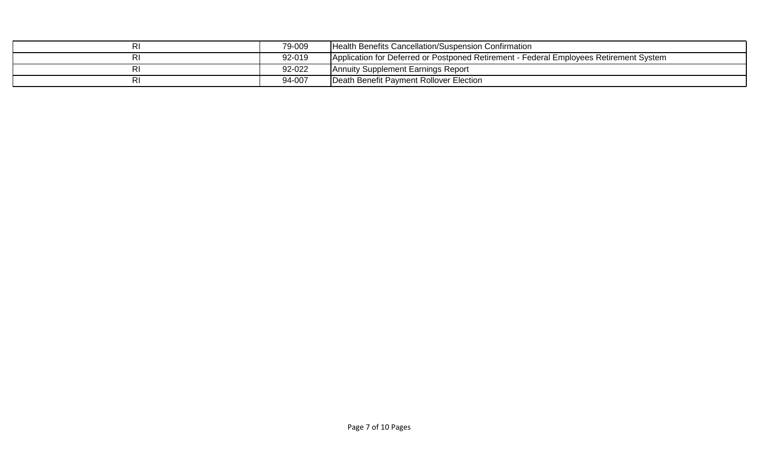| 79-009 | Health Benefits Cancellation/Suspension Confirmation                                   |
|--------|----------------------------------------------------------------------------------------|
| 92-019 | Application for Deferred or Postponed Retirement - Federal Employees Retirement System |
| 92-022 | Annuity Supplement Earnings Report                                                     |
| 94-007 | Death Benefit Payment Rollover Election                                                |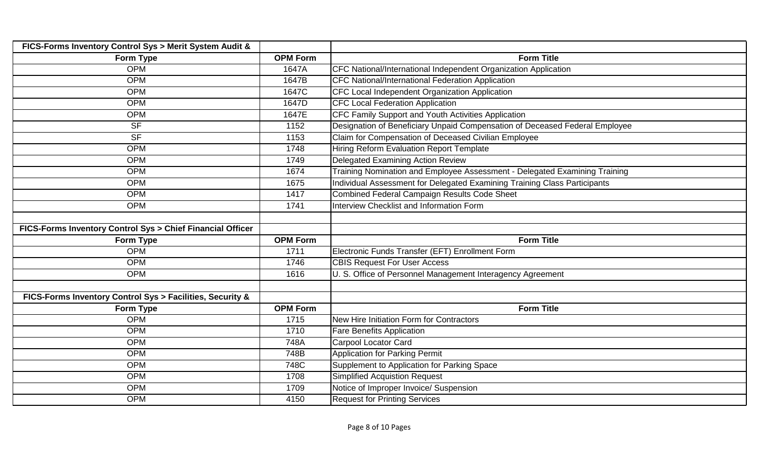| FICS-Forms Inventory Control Sys > Merit System Audit &    |                 |                                                                             |
|------------------------------------------------------------|-----------------|-----------------------------------------------------------------------------|
| Form Type                                                  | <b>OPM Form</b> | <b>Form Title</b>                                                           |
| <b>OPM</b>                                                 | 1647A           | CFC National/International Independent Organization Application             |
| <b>OPM</b>                                                 | 1647B           | CFC National/International Federation Application                           |
| <b>OPM</b>                                                 | 1647C           | CFC Local Independent Organization Application                              |
| <b>OPM</b>                                                 | 1647D           | <b>CFC Local Federation Application</b>                                     |
| <b>OPM</b>                                                 | 1647E           | CFC Family Support and Youth Activities Application                         |
| <b>SF</b>                                                  | 1152            | Designation of Beneficiary Unpaid Compensation of Deceased Federal Employee |
| <b>SF</b>                                                  | 1153            | Claim for Compensation of Deceased Civilian Employee                        |
| <b>OPM</b>                                                 | 1748            | <b>Hiring Reform Evaluation Report Template</b>                             |
| <b>OPM</b>                                                 | 1749            | <b>Delegated Examining Action Review</b>                                    |
| <b>OPM</b>                                                 | 1674            | Training Nomination and Employee Assessment - Delegated Examining Training  |
| <b>OPM</b>                                                 | 1675            | Individual Assessment for Delegated Examining Training Class Participants   |
| <b>OPM</b>                                                 | 1417            | <b>Combined Federal Campaign Results Code Sheet</b>                         |
| <b>OPM</b>                                                 | 1741            | Interview Checklist and Information Form                                    |
|                                                            |                 |                                                                             |
| FICS-Forms Inventory Control Sys > Chief Financial Officer |                 |                                                                             |
| Form Type                                                  | <b>OPM Form</b> | <b>Form Title</b>                                                           |
| <b>OPM</b>                                                 | 1711            | Electronic Funds Transfer (EFT) Enrollment Form                             |
| <b>OPM</b>                                                 | 1746            | <b>CBIS Request For User Access</b>                                         |
| <b>OPM</b>                                                 | 1616            | U. S. Office of Personnel Management Interagency Agreement                  |
|                                                            |                 |                                                                             |
| FICS-Forms Inventory Control Sys > Facilities, Security &  |                 |                                                                             |
| Form Type                                                  | <b>OPM Form</b> | <b>Form Title</b>                                                           |
| <b>OPM</b>                                                 | 1715            | New Hire Initiation Form for Contractors                                    |
| <b>OPM</b>                                                 | 1710            | <b>Fare Benefits Application</b>                                            |
| <b>OPM</b>                                                 | 748A            | <b>Carpool Locator Card</b>                                                 |
| <b>OPM</b>                                                 | 748B            | <b>Application for Parking Permit</b>                                       |
| <b>OPM</b>                                                 | 748C            | Supplement to Application for Parking Space                                 |
| <b>OPM</b>                                                 | 1708            | Simplified Acquistion Request                                               |
| <b>OPM</b>                                                 | 1709            | Notice of Improper Invoice/ Suspension                                      |
| <b>OPM</b>                                                 | 4150            | <b>Request for Printing Services</b>                                        |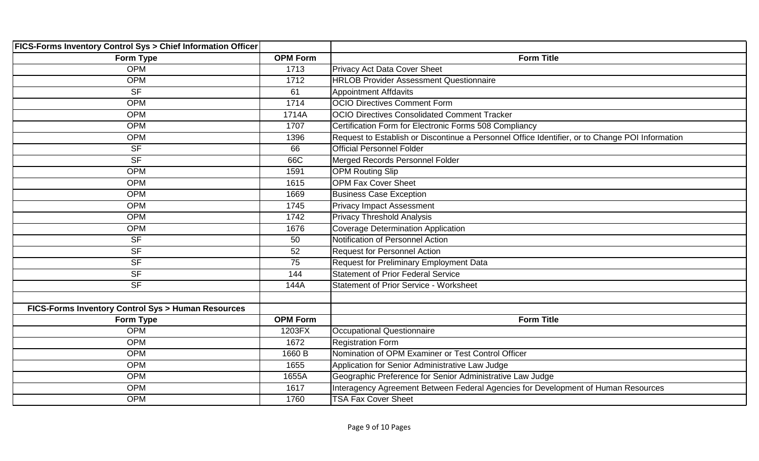| <b>FICS-Forms Inventory Control Sys &gt; Chief Information Officer</b> |                 |                                                                                                 |
|------------------------------------------------------------------------|-----------------|-------------------------------------------------------------------------------------------------|
| Form Type                                                              | <b>OPM Form</b> | <b>Form Title</b>                                                                               |
| <b>OPM</b>                                                             | 1713            | Privacy Act Data Cover Sheet                                                                    |
| <b>OPM</b>                                                             | 1712            | <b>HRLOB Provider Assessment Questionnaire</b>                                                  |
| <b>SF</b>                                                              | 61              | <b>Appointment Affdavits</b>                                                                    |
| <b>OPM</b>                                                             | 1714            | <b>OCIO Directives Comment Form</b>                                                             |
| <b>OPM</b>                                                             | 1714A           | <b>OCIO Directives Consolidated Comment Tracker</b>                                             |
| <b>OPM</b>                                                             | 1707            | Certification Form for Electronic Forms 508 Compliancy                                          |
| <b>OPM</b>                                                             | 1396            | Request to Establish or Discontinue a Personnel Office Identifier, or to Change POI Information |
| <b>SF</b>                                                              | 66              | <b>Official Personnel Folder</b>                                                                |
| <b>SF</b>                                                              | 66C             | Merged Records Personnel Folder                                                                 |
| <b>OPM</b>                                                             | 1591            | <b>OPM Routing Slip</b>                                                                         |
| <b>OPM</b>                                                             | 1615            | <b>OPM Fax Cover Sheet</b>                                                                      |
| <b>OPM</b>                                                             | 1669            | <b>Business Case Exception</b>                                                                  |
| <b>OPM</b>                                                             | 1745            | <b>Privacy Impact Assessment</b>                                                                |
| <b>OPM</b>                                                             | 1742            | <b>Privacy Threshold Analysis</b>                                                               |
| <b>OPM</b>                                                             | 1676            | <b>Coverage Determination Application</b>                                                       |
| <b>SF</b>                                                              | 50              | Notification of Personnel Action                                                                |
| <b>SF</b>                                                              | 52              | <b>Request for Personnel Action</b>                                                             |
| <b>SF</b>                                                              | 75              | Request for Preliminary Employment Data                                                         |
| <b>SF</b>                                                              | 144             | <b>Statement of Prior Federal Service</b>                                                       |
| <b>SF</b>                                                              | 144A            | <b>Statement of Prior Service - Worksheet</b>                                                   |
|                                                                        |                 |                                                                                                 |
| FICS-Forms Inventory Control Sys > Human Resources                     |                 |                                                                                                 |
| Form Type                                                              | <b>OPM Form</b> | <b>Form Title</b>                                                                               |
| <b>OPM</b>                                                             | 1203FX          | <b>Occupational Questionnaire</b>                                                               |
| <b>OPM</b>                                                             | 1672            | <b>Registration Form</b>                                                                        |
| <b>OPM</b>                                                             | 1660 B          | Nomination of OPM Examiner or Test Control Officer                                              |
| <b>OPM</b>                                                             | 1655            | Application for Senior Administrative Law Judge                                                 |
| <b>OPM</b>                                                             | 1655A           | Geographic Preference for Senior Administrative Law Judge                                       |
| <b>OPM</b>                                                             | 1617            | Interagency Agreement Between Federal Agencies for Development of Human Resources               |
| <b>OPM</b>                                                             | 1760            | <b>TSA Fax Cover Sheet</b>                                                                      |